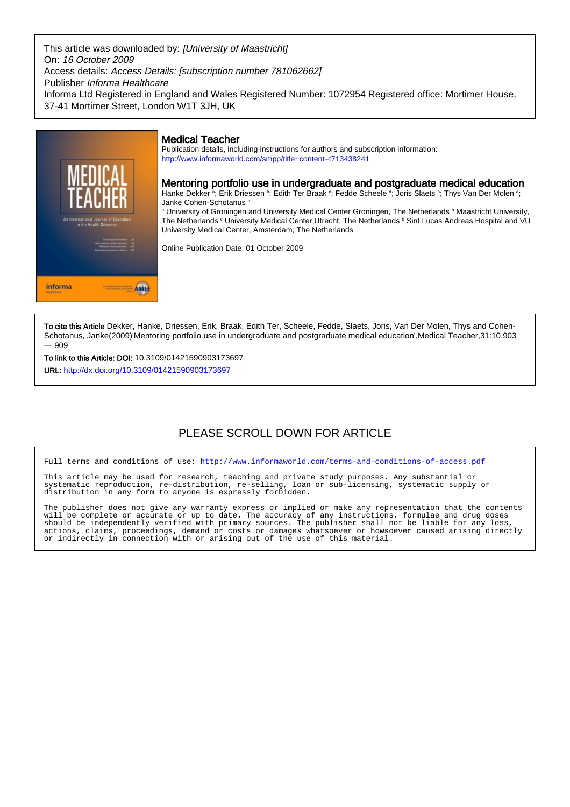This article was downloaded by: [University of Maastricht] On: 16 October 2009 Access details: Access Details: [subscription number 781062662] Publisher Informa Healthcare Informa Ltd Registered in England and Wales Registered Number: 1072954 Registered office: Mortimer House, 37-41 Mortimer Street, London W1T 3JH, UK



To cite this Article Dekker, Hanke, Driessen, Erik, Braak, Edith Ter, Scheele, Fedde, Slaets, Joris, Van Der Molen, Thys and Cohen-Schotanus, Janke(2009)'Mentoring portfolio use in undergraduate and postgraduate medical education',Medical Teacher,31:10,903 — 909

To link to this Article: DOI: 10.3109/01421590903173697

URL: <http://dx.doi.org/10.3109/01421590903173697>

# PLEASE SCROLL DOWN FOR ARTICLE

Full terms and conditions of use:<http://www.informaworld.com/terms-and-conditions-of-access.pdf>

This article may be used for research, teaching and private study purposes. Any substantial or systematic reproduction, re-distribution, re-selling, loan or sub-licensing, systematic supply or distribution in any form to anyone is expressly forbidden.

The publisher does not give any warranty express or implied or make any representation that the contents will be complete or accurate or up to date. The accuracy of any instructions, formulae and drug doses should be independently verified with primary sources. The publisher shall not be liable for any loss, actions, claims, proceedings, demand or costs or damages whatsoever or howsoever caused arising directly or indirectly in connection with or arising out of the use of this material.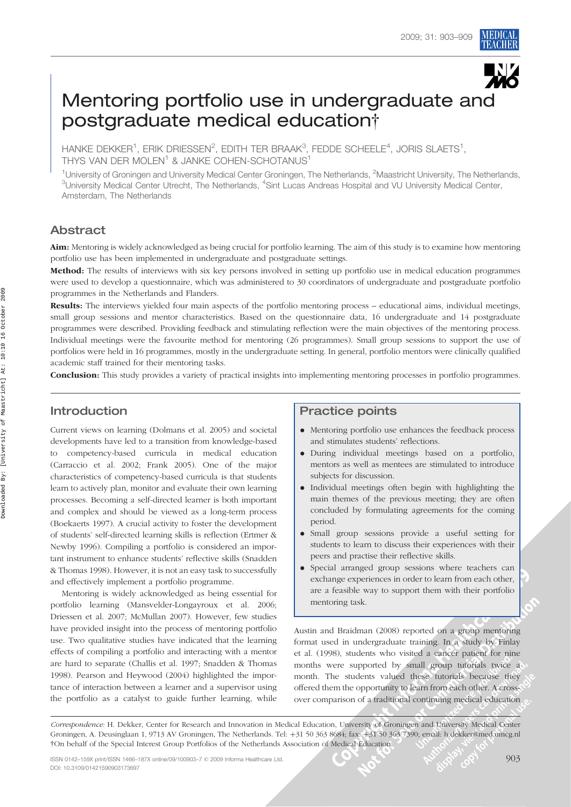# Mentoring portfolio use in undergraduate and postgraduate medical education<sup>†</sup>

 $H$ ANKE DEKKER<sup>1</sup>, ERIK DRIESSEN<sup>2</sup>, EDITH TER BRAAK<sup>3</sup>, FEDDE SCHEELE<sup>4</sup>, JORIS SLAETS<sup>1</sup>, THYS VAN DER MOLEN<sup>1</sup> & JANKE COHEN-SCHOTANUS

<sup>1</sup>University of Groningen and University Medical Center Groningen, The Netherlands, <sup>2</sup>Maastricht University, The Netherlands,<br><sup>3</sup>University Medical Center Utrocht, The Netherlands, <sup>4</sup>Sint Luces Andreas Hespital and VU U University Medical Center Utrecht, The Netherlands, <sup>4</sup>Sint Lucas Andreas Hospital and VU University Medical Center, Amsterdam, The Netherlands

# Abstract

Aim: Mentoring is widely acknowledged as being crucial for portfolio learning. The aim of this study is to examine how mentoring portfolio use has been implemented in undergraduate and postgraduate settings.

**Method:** The results of interviews with six key persons involved in setting up portfolio use in medical education programmes were used to develop a questionnaire, which was administered to 30 coordinators of undergraduate and postgraduate portfolio programmes in the Netherlands and Flanders.

Results: The interviews yielded four main aspects of the portfolio mentoring process – educational aims, individual meetings, small group sessions and mentor characteristics. Based on the questionnaire data, 16 undergraduate and 14 postgraduate programmes were described. Providing feedback and stimulating reflection were the main objectives of the mentoring process. Individual meetings were the favourite method for mentoring (26 programmes). Small group sessions to support the use of portfolios were held in 16 programmes, mostly in the undergraduate setting. In general, portfolio mentors were clinically qualified academic staff trained for their mentoring tasks.

Conclusion: This study provides a variety of practical insights into implementing mentoring processes in portfolio programmes.

# Introduction

Current views on learning (Dolmans et al. 2005) and societal developments have led to a transition from knowledge-based to competency-based curricula in medical education (Carraccio et al. 2002; Frank 2005). One of the major characteristics of competency-based curricula is that students learn to actively plan, monitor and evaluate their own learning processes. Becoming a self-directed learner is both important and complex and should be viewed as a long-term process (Boekaerts 1997). A crucial activity to foster the development of students' self-directed learning skills is reflection (Ertmer & Newby 1996). Compiling a portfolio is considered an important instrument to enhance students' reflective skills (Snadden & Thomas 1998). However, it is not an easy task to successfully and effectively implement a portfolio programme.

Mentoring is widely acknowledged as being essential for portfolio learning (Mansvelder-Longayroux et al. 2006; Driessen et al. 2007; McMullan 2007). However, few studies have provided insight into the process of mentoring portfolio use. Two qualitative studies have indicated that the learning effects of compiling a portfolio and interacting with a mentor are hard to separate (Challis et al. 1997; Snadden & Thomas 1998). Pearson and Heywood (2004) highlighted the importance of interaction between a learner and a supervisor using the portfolio as a catalyst to guide further learning, while

## Practice points

- . Mentoring portfolio use enhances the feedback process and stimulates students' reflections.
- . During individual meetings based on a portfolio, mentors as well as mentees are stimulated to introduce subjects for discussion.
- . Individual meetings often begin with highlighting the main themes of the previous meeting; they are often concluded by formulating agreements for the coming period.
- . Small group sessions provide a useful setting for students to learn to discuss their experiences with their peers and practise their reflective skills.
- . Special arranged group sessions where teachers can exchange experiences in order to learn from each other, are a feasible way to support them with their portfolio mentoring task.

Austin and Braidman (2008) reported on a group mentoring format used in undergraduate training. In a study by Finlay et al. (1998), students who visited a cancer patient for nine months were supported by small group tutorials twice a month. The students valued these tutorials because they offered them the opportunity to learn from each other. A crossover comparison of a traditional continuing medical education

2009

Correspondence: H. Dekker, Center for Research and Innovation in Medical Education, University of Groningen and University Medical Center Groningen, A. Deusinglaan 1, 9713 AV Groningen, The Netherlands. Tel: +31 50 363 8684; fax: +31 50 363 7390; email: h.dekker@med.umcg.nl yOn behalf of the Special Interest Group Portfolios of the Netherlands Association of Medical Education.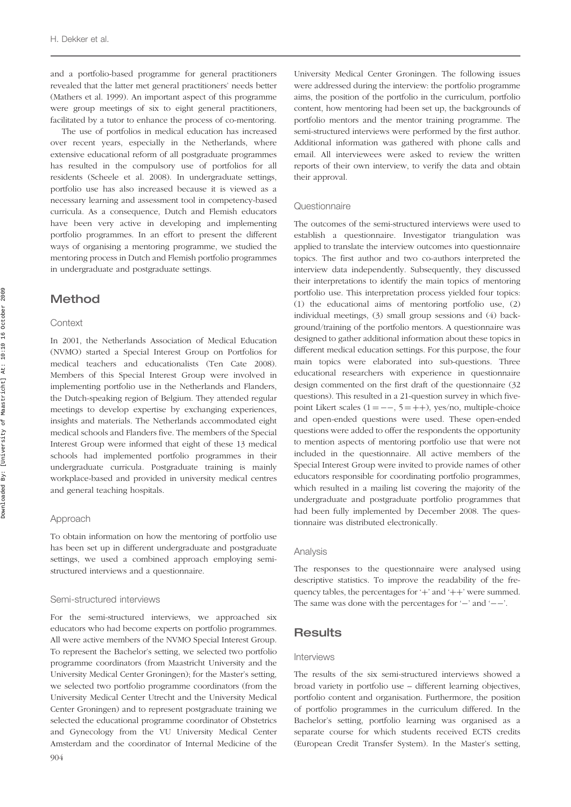and a portfolio-based programme for general practitioners revealed that the latter met general practitioners' needs better (Mathers et al. 1999). An important aspect of this programme were group meetings of six to eight general practitioners, facilitated by a tutor to enhance the process of co-mentoring.

The use of portfolios in medical education has increased over recent years, especially in the Netherlands, where extensive educational reform of all postgraduate programmes has resulted in the compulsory use of portfolios for all residents (Scheele et al. 2008). In undergraduate settings, portfolio use has also increased because it is viewed as a necessary learning and assessment tool in competency-based curricula. As a consequence, Dutch and Flemish educators have been very active in developing and implementing portfolio programmes. In an effort to present the different ways of organising a mentoring programme, we studied the mentoring process in Dutch and Flemish portfolio programmes in undergraduate and postgraduate settings.

# Method

#### **Context**

In 2001, the Netherlands Association of Medical Education (NVMO) started a Special Interest Group on Portfolios for medical teachers and educationalists (Ten Cate 2008). Members of this Special Interest Group were involved in implementing portfolio use in the Netherlands and Flanders, the Dutch-speaking region of Belgium. They attended regular meetings to develop expertise by exchanging experiences, insights and materials. The Netherlands accommodated eight medical schools and Flanders five. The members of the Special Interest Group were informed that eight of these 13 medical schools had implemented portfolio programmes in their undergraduate curricula. Postgraduate training is mainly workplace-based and provided in university medical centres and general teaching hospitals.

#### Approach

To obtain information on how the mentoring of portfolio use has been set up in different undergraduate and postgraduate settings, we used a combined approach employing semistructured interviews and a questionnaire.

#### Semi-structured interviews

For the semi-structured interviews, we approached six educators who had become experts on portfolio programmes. All were active members of the NVMO Special Interest Group. To represent the Bachelor's setting, we selected two portfolio programme coordinators (from Maastricht University and the University Medical Center Groningen); for the Master's setting, we selected two portfolio programme coordinators (from the University Medical Center Utrecht and the University Medical Center Groningen) and to represent postgraduate training we selected the educational programme coordinator of Obstetrics and Gynecology from the VU University Medical Center Amsterdam and the coordinator of Internal Medicine of the 904

University Medical Center Groningen. The following issues were addressed during the interview: the portfolio programme aims, the position of the portfolio in the curriculum, portfolio content, how mentoring had been set up, the backgrounds of portfolio mentors and the mentor training programme. The semi-structured interviews were performed by the first author. Additional information was gathered with phone calls and email. All interviewees were asked to review the written reports of their own interview, to verify the data and obtain their approval.

#### **Questionnaire**

The outcomes of the semi-structured interviews were used to establish a questionnaire. Investigator triangulation was applied to translate the interview outcomes into questionnaire topics. The first author and two co-authors interpreted the interview data independently. Subsequently, they discussed their interpretations to identify the main topics of mentoring portfolio use. This interpretation process yielded four topics: (1) the educational aims of mentoring portfolio use, (2) individual meetings, (3) small group sessions and (4) background/training of the portfolio mentors. A questionnaire was designed to gather additional information about these topics in different medical education settings. For this purpose, the four main topics were elaborated into sub-questions. Three educational researchers with experience in questionnaire design commented on the first draft of the questionnaire (32 questions). This resulted in a 21-question survey in which fivepoint Likert scales  $(1 = --, 5 = ++)$ , yes/no, multiple-choice and open-ended questions were used. These open-ended questions were added to offer the respondents the opportunity to mention aspects of mentoring portfolio use that were not included in the questionnaire. All active members of the Special Interest Group were invited to provide names of other educators responsible for coordinating portfolio programmes, which resulted in a mailing list covering the majority of the undergraduate and postgraduate portfolio programmes that had been fully implemented by December 2008. The questionnaire was distributed electronically.

#### Analysis

The responses to the questionnaire were analysed using descriptive statistics. To improve the readability of the frequency tables, the percentages for  $+$  and  $++$  were summed. The same was done with the percentages for  $\div$  and  $\div$ .

## **Results**

## Interviews

The results of the six semi-structured interviews showed a broad variety in portfolio use – different learning objectives, portfolio content and organisation. Furthermore, the position of portfolio programmes in the curriculum differed. In the Bachelor's setting, portfolio learning was organised as a separate course for which students received ECTS credits (European Credit Transfer System). In the Master's setting,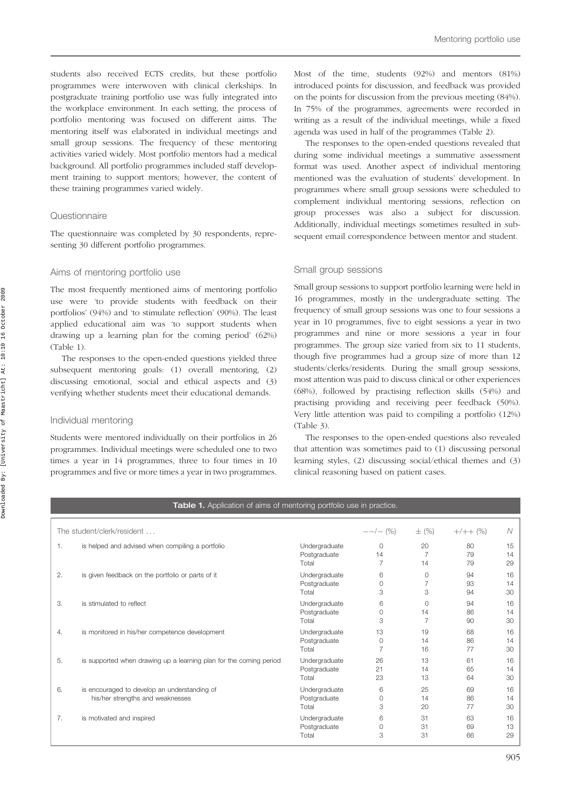students also received ECTS credits, but these portfolio programmes were interwoven with clinical clerkships. In postgraduate training portfolio use was fully integrated into the workplace environment. In each setting, the process of portfolio mentoring was focused on different aims. The mentoring itself was elaborated in individual meetings and small group sessions. The frequency of these mentoring activities varied widely. Most portfolio mentors had a medical background. All portfolio programmes included staff development training to support mentors; however, the content of these training programmes varied widely.

## **Questionnaire**

The questionnaire was completed by 30 respondents, representing 30 different portfolio programmes.

#### Aims of mentoring portfolio use

The most frequently mentioned aims of mentoring portfolio use were 'to provide students with feedback on their portfolios' (94%) and 'to stimulate reflection' (90%). The least applied educational aim was 'to support students when drawing up a learning plan for the coming period' (62%) (Table 1).

The responses to the open-ended questions yielded three subsequent mentoring goals: (1) overall mentoring, (2) discussing emotional, social and ethical aspects and (3) verifying whether students meet their educational demands.

#### Individual mentoring

Students were mentored individually on their portfolios in 26 programmes. Individual meetings were scheduled one to two times a year in 14 programmes, three to four times in 10 programmes and five or more times a year in two programmes.

Most of the time, students (92%) and mentors (81%) introduced points for discussion, and feedback was provided on the points for discussion from the previous meeting (84%). In 75% of the programmes, agreements were recorded in writing as a result of the individual meetings, while a fixed agenda was used in half of the programmes (Table 2).

The responses to the open-ended questions revealed that during some individual meetings a summative assessment format was used. Another aspect of individual mentoring mentioned was the evaluation of students' development. In programmes where small group sessions were scheduled to complement individual mentoring sessions, reflection on group processes was also a subject for discussion. Additionally, individual meetings sometimes resulted in subsequent email correspondence between mentor and student.

#### Small group sessions

Small group sessions to support portfolio learning were held in 16 programmes, mostly in the undergraduate setting. The frequency of small group sessions was one to four sessions a year in 10 programmes, five to eight sessions a year in two programmes and nine or more sessions a year in four programmes. The group size varied from six to 11 students, though five programmes had a group size of more than 12 students/clerks/residents. During the small group sessions, most attention was paid to discuss clinical or other experiences (68%), followed by practising reflection skills (54%) and practising providing and receiving peer feedback (50%). Very little attention was paid to compiling a portfolio (12%) (Table 3).

The responses to the open-ended questions also revealed that attention was sometimes paid to (1) discussing personal learning styles, (2) discussing social/ethical themes and (3) clinical reasoning based on patient cases.

| Table 1. Application of aims of mentoring portfolio use in practice. |                                                                                  |                                        |                   |                |                |                |  |
|----------------------------------------------------------------------|----------------------------------------------------------------------------------|----------------------------------------|-------------------|----------------|----------------|----------------|--|
|                                                                      | The student/clerk/resident                                                       |                                        | $---/-(\%)$       | $\pm$ (%)      | $+/++(%)$      | N              |  |
| 1.                                                                   | is helped and advised when compiling a portfolio                                 | Undergraduate<br>Postgraduate<br>Total | 0<br>14           | 20<br>7<br>14  | 80<br>79<br>79 | 15<br>14<br>29 |  |
| 2.                                                                   | is given feedback on the portfolio or parts of it                                | Undergraduate<br>Postgraduate<br>Total | 6<br>0<br>3       | $\circ$<br>3   | 94<br>93<br>94 | 16<br>14<br>30 |  |
| 3.                                                                   | is stimulated to reflect                                                         | Undergraduate<br>Postgraduate<br>Total | 6<br>$\circ$<br>3 | 0<br>14        | 94<br>86<br>90 | 16<br>14<br>30 |  |
| 4.                                                                   | is monitored in his/her competence development                                   | Undergraduate<br>Postgraduate<br>Total | 13<br>0<br>7      | 19<br>14<br>16 | 68<br>86<br>77 | 16<br>14<br>30 |  |
| 5.                                                                   | is supported when drawing up a learning plan for the coming period               | Undergraduate<br>Postgraduate<br>Total | 26<br>21<br>23    | 13<br>14<br>13 | 61<br>65<br>64 | 16<br>14<br>30 |  |
| 6.                                                                   | is encouraged to develop an understanding of<br>his/her strengths and weaknesses | Undergraduate<br>Postgraduate<br>Total | 6<br>0<br>3       | 25<br>14<br>20 | 69<br>86<br>77 | 16<br>14<br>30 |  |
| 7.                                                                   | is motivated and inspired                                                        | Undergraduate<br>Postgraduate<br>Total | 6<br>$\circ$<br>3 | 31<br>31<br>31 | 63<br>69<br>66 | 16<br>13<br>29 |  |

2009

10:10 16 October

At:

Maastricht]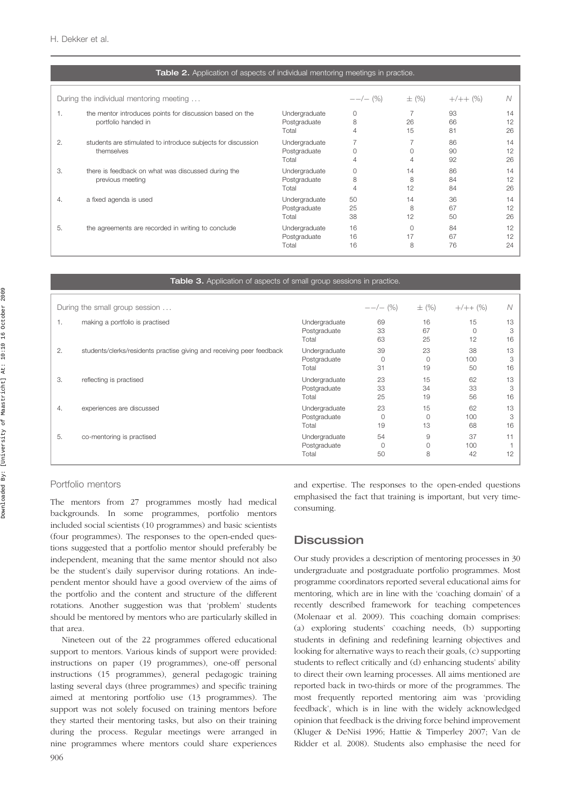| Table 2. Application of aspects of individual mentoring meetings in practice. |                                                                                 |                                        |                                 |                     |                |                |  |  |
|-------------------------------------------------------------------------------|---------------------------------------------------------------------------------|----------------------------------------|---------------------------------|---------------------|----------------|----------------|--|--|
|                                                                               | During the individual mentoring meeting                                         |                                        | $---/-(\%)$                     | $\pm$ (%)           | $+/++$ (%)     | $\mathcal N$   |  |  |
| 1.                                                                            | the mentor introduces points for discussion based on the<br>portfolio handed in | Undergraduate<br>Postgraduate<br>Total | $\Omega$<br>8<br>$\overline{4}$ | 26<br>15            | 93<br>66<br>81 | 14<br>12<br>26 |  |  |
| 2.                                                                            | students are stimulated to introduce subjects for discussion<br>themselves      | Undergraduate<br>Postgraduate<br>Total |                                 | 4                   | 86<br>90<br>92 | 14<br>12<br>26 |  |  |
| 3.                                                                            | there is feedback on what was discussed during the<br>previous meeting          | Undergraduate<br>Postgraduate<br>Total | $\Omega$<br>8<br>$\overline{4}$ | 14<br>8<br>12       | 86<br>84<br>84 | 14<br>12<br>26 |  |  |
| 4.                                                                            | a fixed agenda is used                                                          | Undergraduate<br>Postgraduate<br>Total | 50<br>25<br>38                  | 14<br>8<br>12       | 36<br>67<br>50 | 14<br>12<br>26 |  |  |
| 5.                                                                            | the agreements are recorded in writing to conclude                              | Undergraduate<br>Postgraduate<br>Total | 16<br>16<br>16                  | $\Omega$<br>17<br>8 | 84<br>67<br>76 | 12<br>12<br>24 |  |  |

|    | Table 3. Application of aspects of small group sessions in practice.  |                                        |                      |                      |                 |               |
|----|-----------------------------------------------------------------------|----------------------------------------|----------------------|----------------------|-----------------|---------------|
|    | During the small group session                                        |                                        | $---/-(\%)$          | $\pm$ (%)            | $+/++$ (%)      | $\mathcal N$  |
| 1. | making a portfolio is practised                                       | Undergraduate<br>Postgraduate<br>Total | 69<br>33<br>63       | 16<br>67<br>25       | 15<br>0<br>12   | 13<br>3<br>16 |
| 2. | students/clerks/residents practise giving and receiving peer feedback | Undergraduate<br>Postgraduate<br>Total | 39<br>0<br>31        | 23<br>0<br>19        | 38<br>100<br>50 | 13<br>3<br>16 |
| 3. | reflecting is practised                                               | Undergraduate<br>Postgraduate<br>Total | 23<br>33<br>25       | 15<br>34<br>19       | 62<br>33<br>56  | 13<br>3<br>16 |
| 4. | experiences are discussed                                             | Undergraduate<br>Postgraduate<br>Total | 23<br>0<br>19        | 15<br>$\Omega$<br>13 | 62<br>100<br>68 | 13<br>3<br>16 |
| 5. | co-mentoring is practised                                             | Undergraduate<br>Postgraduate<br>Total | 54<br>$\Omega$<br>50 | 9<br>$\Omega$<br>8   | 37<br>100<br>42 | 11<br>12      |

#### Portfolio mentors

The mentors from 27 programmes mostly had medical backgrounds. In some programmes, portfolio mentors included social scientists (10 programmes) and basic scientists (four programmes). The responses to the open-ended questions suggested that a portfolio mentor should preferably be independent, meaning that the same mentor should not also be the student's daily supervisor during rotations. An independent mentor should have a good overview of the aims of the portfolio and the content and structure of the different rotations. Another suggestion was that 'problem' students should be mentored by mentors who are particularly skilled in that area.

Nineteen out of the 22 programmes offered educational support to mentors. Various kinds of support were provided: instructions on paper (19 programmes), one-off personal instructions (15 programmes), general pedagogic training lasting several days (three programmes) and specific training aimed at mentoring portfolio use (13 programmes). The support was not solely focused on training mentors before they started their mentoring tasks, but also on their training during the process. Regular meetings were arranged in nine programmes where mentors could share experiences 906

and expertise. The responses to the open-ended questions emphasised the fact that training is important, but very timeconsuming.

# **Discussion**

Our study provides a description of mentoring processes in 30 undergraduate and postgraduate portfolio programmes. Most programme coordinators reported several educational aims for mentoring, which are in line with the 'coaching domain' of a recently described framework for teaching competences (Molenaar et al. 2009). This coaching domain comprises: (a) exploring students' coaching needs, (b) supporting students in defining and redefining learning objectives and looking for alternative ways to reach their goals, (c) supporting students to reflect critically and (d) enhancing students' ability to direct their own learning processes. All aims mentioned are reported back in two-thirds or more of the programmes. The most frequently reported mentoring aim was 'providing feedback', which is in line with the widely acknowledged opinion that feedback is the driving force behind improvement (Kluger & DeNisi 1996; Hattie & Timperley 2007; Van de Ridder et al. 2008). Students also emphasise the need for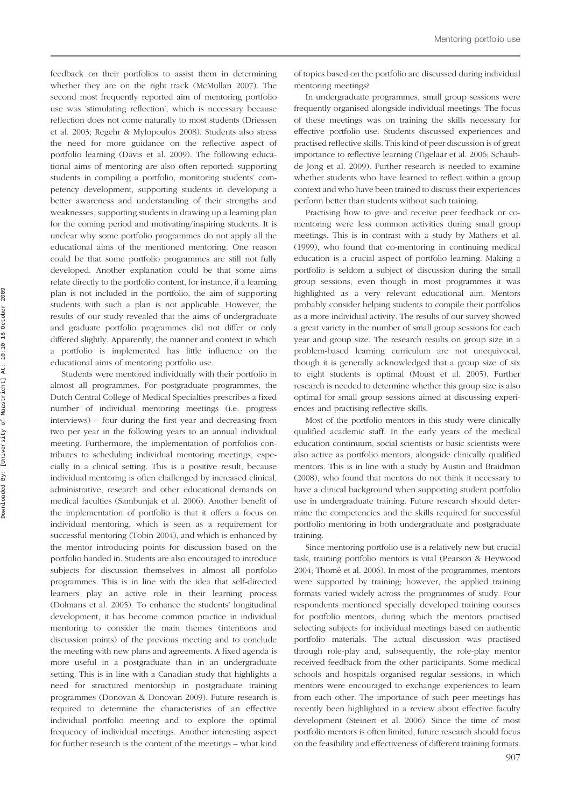feedback on their portfolios to assist them in determining whether they are on the right track (McMullan 2007). The second most frequently reported aim of mentoring portfolio use was 'stimulating reflection', which is necessary because reflection does not come naturally to most students (Driessen et al. 2003; Regehr & Mylopoulos 2008). Students also stress the need for more guidance on the reflective aspect of portfolio learning (Davis et al. 2009). The following educational aims of mentoring are also often reported: supporting students in compiling a portfolio, monitoring students' competency development, supporting students in developing a better awareness and understanding of their strengths and weaknesses, supporting students in drawing up a learning plan for the coming period and motivating/inspiring students. It is unclear why some portfolio programmes do not apply all the educational aims of the mentioned mentoring. One reason could be that some portfolio programmes are still not fully developed. Another explanation could be that some aims relate directly to the portfolio content, for instance, if a learning plan is not included in the portfolio, the aim of supporting students with such a plan is not applicable. However, the results of our study revealed that the aims of undergraduate and graduate portfolio programmes did not differ or only differed slightly. Apparently, the manner and context in which a portfolio is implemented has little influence on the educational aims of mentoring portfolio use.

Students were mentored individually with their portfolio in almost all programmes. For postgraduate programmes, the Dutch Central College of Medical Specialties prescribes a fixed number of individual mentoring meetings (i.e. progress interviews) – four during the first year and decreasing from two per year in the following years to an annual individual meeting. Furthermore, the implementation of portfolios contributes to scheduling individual mentoring meetings, especially in a clinical setting. This is a positive result, because individual mentoring is often challenged by increased clinical, administrative, research and other educational demands on medical faculties (Sambunjak et al. 2006). Another benefit of the implementation of portfolio is that it offers a focus on individual mentoring, which is seen as a requirement for successful mentoring (Tobin 2004), and which is enhanced by the mentor introducing points for discussion based on the portfolio handed in. Students are also encouraged to introduce subjects for discussion themselves in almost all portfolio programmes. This is in line with the idea that self-directed learners play an active role in their learning process (Dolmans et al. 2005). To enhance the students' longitudinal development, it has become common practice in individual mentoring to consider the main themes (intentions and discussion points) of the previous meeting and to conclude the meeting with new plans and agreements. A fixed agenda is more useful in a postgraduate than in an undergraduate setting. This is in line with a Canadian study that highlights a need for structured mentorship in postgraduate training programmes (Donovan & Donovan 2009). Future research is required to determine the characteristics of an effective individual portfolio meeting and to explore the optimal frequency of individual meetings. Another interesting aspect for further research is the content of the meetings – what kind

of topics based on the portfolio are discussed during individual mentoring meetings?

In undergraduate programmes, small group sessions were frequently organised alongside individual meetings. The focus of these meetings was on training the skills necessary for effective portfolio use. Students discussed experiences and practised reflective skills. This kind of peer discussion is of great importance to reflective learning (Tigelaar et al. 2006; Schaubde Jong et al. 2009). Further research is needed to examine whether students who have learned to reflect within a group context and who have been trained to discuss their experiences perform better than students without such training.

Practising how to give and receive peer feedback or comentoring were less common activities during small group meetings. This is in contrast with a study by Mathers et al. (1999), who found that co-mentoring in continuing medical education is a crucial aspect of portfolio learning. Making a portfolio is seldom a subject of discussion during the small group sessions, even though in most programmes it was highlighted as a very relevant educational aim. Mentors probably consider helping students to compile their portfolios as a more individual activity. The results of our survey showed a great variety in the number of small group sessions for each year and group size. The research results on group size in a problem-based learning curriculum are not unequivocal, though it is generally acknowledged that a group size of six to eight students is optimal (Moust et al. 2005). Further research is needed to determine whether this group size is also optimal for small group sessions aimed at discussing experiences and practising reflective skills.

Most of the portfolio mentors in this study were clinically qualified academic staff. In the early years of the medical education continuum, social scientists or basic scientists were also active as portfolio mentors, alongside clinically qualified mentors. This is in line with a study by Austin and Braidman (2008), who found that mentors do not think it necessary to have a clinical background when supporting student portfolio use in undergraduate training. Future research should determine the competencies and the skills required for successful portfolio mentoring in both undergraduate and postgraduate training.

Since mentoring portfolio use is a relatively new but crucial task, training portfolio mentors is vital (Pearson & Heywood 2004; Thomé et al. 2006). In most of the programmes, mentors were supported by training; however, the applied training formats varied widely across the programmes of study. Four respondents mentioned specially developed training courses for portfolio mentors, during which the mentors practised selecting subjects for individual meetings based on authentic portfolio materials. The actual discussion was practised through role-play and, subsequently, the role-play mentor received feedback from the other participants. Some medical schools and hospitals organised regular sessions, in which mentors were encouraged to exchange experiences to learn from each other. The importance of such peer meetings has recently been highlighted in a review about effective faculty development (Steinert et al. 2006). Since the time of most portfolio mentors is often limited, future research should focus on the feasibility and effectiveness of different training formats.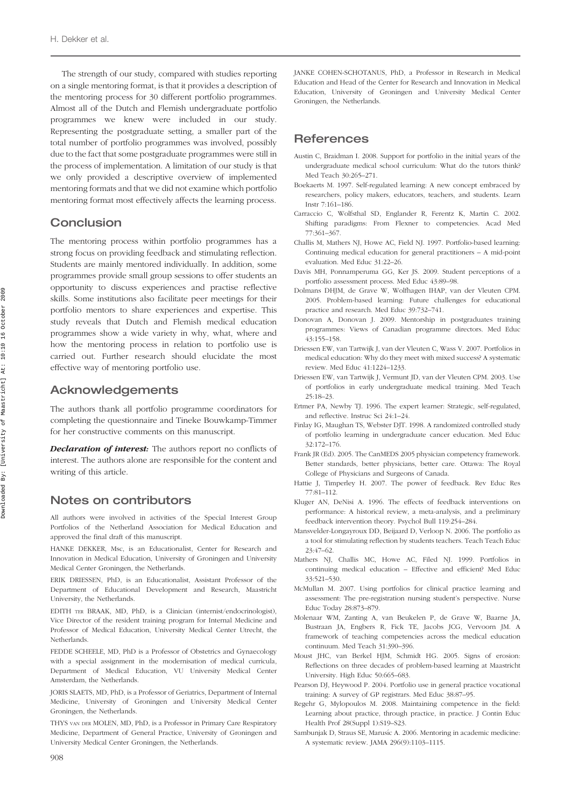The strength of our study, compared with studies reporting on a single mentoring format, is that it provides a description of the mentoring process for 30 different portfolio programmes. Almost all of the Dutch and Flemish undergraduate portfolio programmes we knew were included in our study. Representing the postgraduate setting, a smaller part of the total number of portfolio programmes was involved, possibly due to the fact that some postgraduate programmes were still in the process of implementation. A limitation of our study is that we only provided a descriptive overview of implemented mentoring formats and that we did not examine which portfolio mentoring format most effectively affects the learning process.

# **Conclusion**

The mentoring process within portfolio programmes has a strong focus on providing feedback and stimulating reflection. Students are mainly mentored individually. In addition, some programmes provide small group sessions to offer students an opportunity to discuss experiences and practise reflective skills. Some institutions also facilitate peer meetings for their portfolio mentors to share experiences and expertise. This study reveals that Dutch and Flemish medical education programmes show a wide variety in why, what, where and how the mentoring process in relation to portfolio use is carried out. Further research should elucidate the most effective way of mentoring portfolio use.

## Acknowledgements

The authors thank all portfolio programme coordinators for completing the questionnaire and Tineke Bouwkamp-Timmer for her constructive comments on this manuscript.

**Declaration of interest:** The authors report no conflicts of interest. The authors alone are responsible for the content and writing of this article.

# Notes on contributors

All authors were involved in activities of the Special Interest Group Portfolios of the Netherland Association for Medical Education and approved the final draft of this manuscript.

HANKE DEKKER, Msc, is an Educationalist, Center for Research and Innovation in Medical Education, University of Groningen and University Medical Center Groningen, the Netherlands.

ERIK DRIESSEN, PhD, is an Educationalist, Assistant Professor of the Department of Educational Development and Research, Maastricht University, the Netherlands.

EDITH TER BRAAK, MD, PhD, is a Clinician (internist/endocrinologist), Vice Director of the resident training program for Internal Medicine and Professor of Medical Education, University Medical Center Utrecht, the **Netherlands** 

FEDDE SCHEELE, MD, PhD is a Professor of Obstetrics and Gynaecology with a special assignment in the modernisation of medical curricula, Department of Medical Education, VU University Medical Center Amsterdam, the Netherlands.

JORIS SLAETS, MD, PhD, is a Professor of Geriatrics, Department of Internal Medicine, University of Groningen and University Medical Center Groningen, the Netherlands.

THYS VAN DER MOLEN, MD, PhD, is a Professor in Primary Care Respiratory Medicine, Department of General Practice, University of Groningen and University Medical Center Groningen, the Netherlands.

JANKE COHEN-SCHOTANUS, PhD, a Professor in Research in Medical Education and Head of the Center for Research and Innovation in Medical Education, University of Groningen and University Medical Center Groningen, the Netherlands.

## **References**

- Austin C, Braidman I. 2008. Support for portfolio in the initial years of the undergraduate medical school curriculum: What do the tutors think? Med Teach 30:265–271.
- Boekaerts M. 1997. Self-regulated learning: A new concept embraced by researchers, policy makers, educators, teachers, and students. Learn Instr 7:161–186.
- Carraccio C, Wolfsthal SD, Englander R, Ferentz K, Martin C. 2002. Shifting paradigms: From Flexner to competencies. Acad Med 77:361–367.
- Challis M, Mathers NJ, Howe AC, Field NJ. 1997. Portfolio-based learning: Continuing medical education for general practitioners – A mid-point evaluation. Med Educ 31:22–26.
- Davis MH, Ponnamperuma GG, Ker JS. 2009. Student perceptions of a portfolio assessment process. Med Educ 43:89–98.
- Dolmans DHJM, de Grave W, Wolfhagen IHAP, van der Vleuten CPM. 2005. Problem-based learning: Future challenges for educational practice and research. Med Educ 39:732–741.
- Donovan A, Donovan J. 2009. Mentorship in postgraduates training programmes: Views of Canadian programme directors. Med Educ 43:155–158.
- Driessen EW, van Tartwijk J, van der Vleuten C, Wass V. 2007. Portfolios in medical education: Why do they meet with mixed success? A systematic review. Med Educ 41:1224–1233.
- Driessen EW, van Tartwijk J, Vermunt JD, van der Vleuten CPM. 2003. Use of portfolios in early undergraduate medical training. Med Teach 25:18–23.
- Ertmer PA, Newby TJ. 1996. The expert learner: Strategic, self-regulated, and reflective. Instruc Sci 24:1–24.
- Finlay IG, Maughan TS, Webster DJT. 1998. A randomized controlled study of portfolio learning in undergraduate cancer education. Med Educ 32:172–176.
- Frank JR (Ed). 2005. The CanMEDS 2005 physician competency framework. Better standards, better physicians, better care. Ottawa: The Royal College of Physicians and Surgeons of Canada.
- Hattie J, Timperley H. 2007. The power of feedback. Rev Educ Res 77:81–112.
- Kluger AN, DeNisi A. 1996. The effects of feedback interventions on performance: A historical review, a meta-analysis, and a preliminary feedback intervention theory. Psychol Bull 119:254–284.
- Mansvelder-Longayroux DD, Beijaard D, Verloop N. 2006. The portfolio as a tool for stimulating reflection by students teachers. Teach Teach Educ 23:47–62.
- Mathers NJ, Challis MC, Howe AC, Filed NJ. 1999. Portfolios in continuing medical education – Effective and efficient? Med Educ 33:521–530.
- McMullan M. 2007. Using portfolios for clinical practice learning and assessment: The pre-registration nursing student's perspective. Nurse Educ Today 28:873–879.
- Molenaar WM, Zanting A, van Beukelen P, de Grave W, Baarne JA, Bustraan JA, Engbers R, Fick TE, Jacobs JCG, Vervoorn JM. A framework of teaching competencies across the medical education continuum. Med Teach 31:390–396.
- Moust JHC, van Berkel HJM, Schmidt HG. 2005. Signs of erosion: Reflections on three decades of problem-based learning at Maastricht University. High Educ 50:665–683.
- Pearson DJ, Heywood P. 2004. Portfolio use in general practice vocational training: A survey of GP registrars. Med Educ 38:87–95.
- Regehr G, Mylopoulos M. 2008. Maintaining competence in the field: Learning about practice, through practice, in practice. J Contin Educ Health Prof 28(Suppl 1):S19–S23.
- Sambunjak D, Straus SE, Marusíc A. 2006. Mentoring in academic medicine: A systematic review. JAMA 296(9):1103–1115.